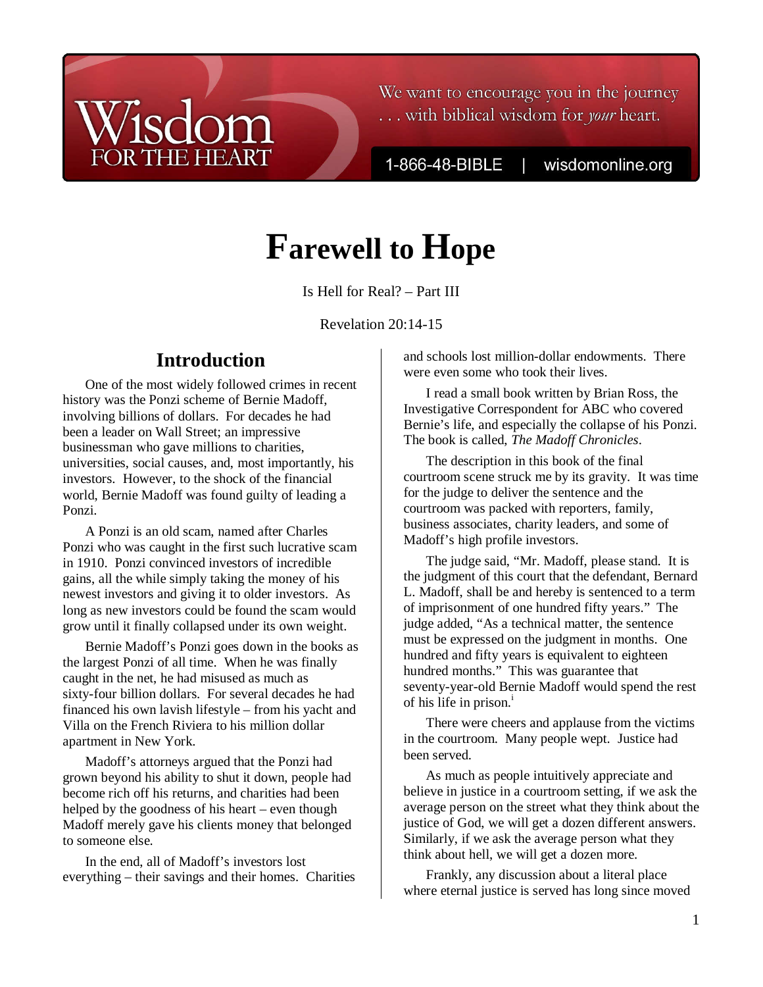## We want to encourage you in the journey ... with biblical wisdom for your heart.

1-866-48-BIBLE

wisdomonline.org

# **Farewell to Hope**

Is Hell for Real? – Part III

Revelation 20:14-15

# **Introduction**

 $\mathsf{ic}$ 

**THE HEART** 

One of the most widely followed crimes in recent history was the Ponzi scheme of Bernie Madoff, involving billions of dollars. For decades he had been a leader on Wall Street; an impressive businessman who gave millions to charities, universities, social causes, and, most importantly, his investors. However, to the shock of the financial world, Bernie Madoff was found guilty of leading a Ponzi.

A Ponzi is an old scam, named after Charles Ponzi who was caught in the first such lucrative scam in 1910. Ponzi convinced investors of incredible gains, all the while simply taking the money of his newest investors and giving it to older investors. As long as new investors could be found the scam would grow until it finally collapsed under its own weight.

Bernie Madoff's Ponzi goes down in the books as the largest Ponzi of all time. When he was finally caught in the net, he had misused as much as sixty-four billion dollars. For several decades he had financed his own lavish lifestyle – from his yacht and Villa on the French Riviera to his million dollar apartment in New York.

Madoff's attorneys argued that the Ponzi had grown beyond his ability to shut it down, people had become rich off his returns, and charities had been helped by the goodness of his heart – even though Madoff merely gave his clients money that belonged to someone else.

In the end, all of Madoff's investors lost everything – their savings and their homes. Charities and schools lost million-dollar endowments. There were even some who took their lives.

I read a small book written by Brian Ross, the Investigative Correspondent for ABC who covered Bernie's life, and especially the collapse of his Ponzi. The book is called, *The Madoff Chronicles*.

The description in this book of the final courtroom scene struck me by its gravity. It was time for the judge to deliver the sentence and the courtroom was packed with reporters, family, business associates, charity leaders, and some of Madoff's high profile investors.

The judge said, "Mr. Madoff, please stand. It is the judgment of this court that the defendant, Bernard L. Madoff, shall be and hereby is sentenced to a term of imprisonment of one hundred fifty years." The judge added, "As a technical matter, the sentence must be expressed on the judgment in months. One hundred and fifty years is equivalent to eighteen hundred months." This was guarantee that seventy-year-old Bernie Madoff would spend the rest of his life in prison. $\frac{1}{1}$ 

There were cheers and applause from the victims in the courtroom. Many people wept. Justice had been served.

As much as people intuitively appreciate and believe in justice in a courtroom setting, if we ask the average person on the street what they think about the justice of God, we will get a dozen different answers. Similarly, if we ask the average person what they think about hell, we will get a dozen more.

Frankly, any discussion about a literal place where eternal justice is served has long since moved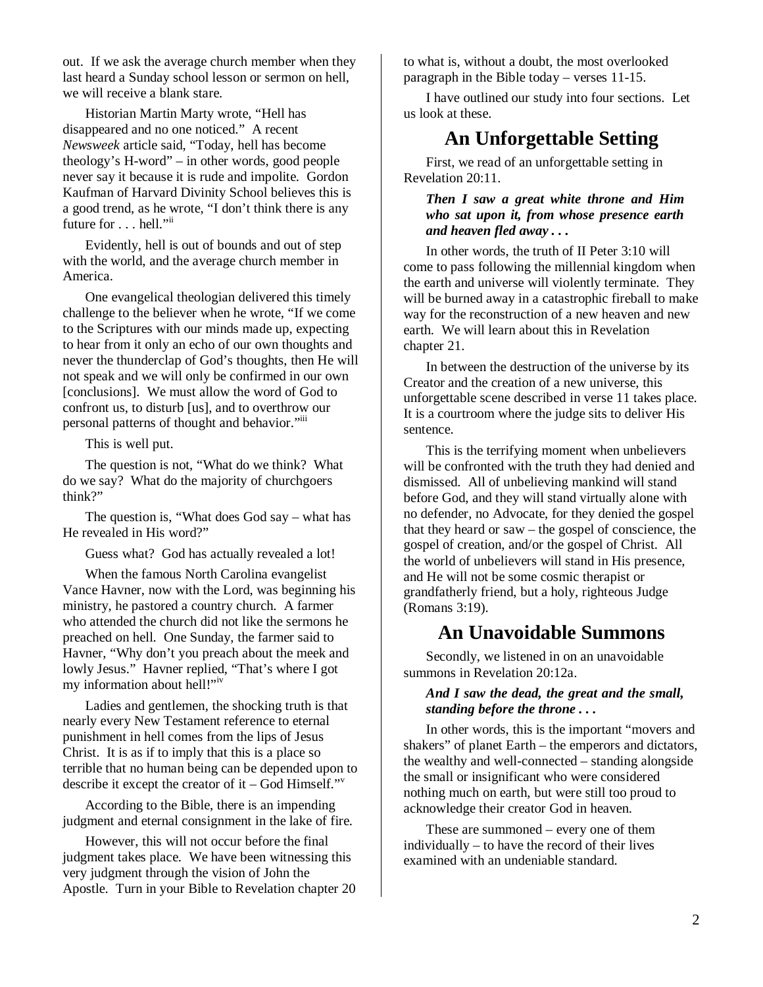out. If we ask the average church member when they last heard a Sunday school lesson or sermon on hell, we will receive a blank stare.

Historian Martin Marty wrote, "Hell has disappeared and no one noticed." A recent *Newsweek* article said, "Today, hell has become theology's H-word" – in other words, good people never say it because it is rude and impolite. Gordon Kaufman of Harvard Divinity School believes this is a good trend, as he wrote, "I don't think there is any future for . . . hell."<sup>ii</sup>

Evidently, hell is out of bounds and out of step with the world, and the average church member in America.

One evangelical theologian delivered this timely challenge to the believer when he wrote, "If we come to the Scriptures with our minds made up, expecting to hear from it only an echo of our own thoughts and never the thunderclap of God's thoughts, then He will not speak and we will only be confirmed in our own [conclusions]. We must allow the word of God to confront us, to disturb [us], and to overthrow our personal patterns of thought and behavior."iii

This is well put.

The question is not, "What do we think? What do we say? What do the majority of churchgoers think?"

The question is, "What does God say – what has He revealed in His word?"

Guess what? God has actually revealed a lot!

When the famous North Carolina evangelist Vance Havner, now with the Lord, was beginning his ministry, he pastored a country church. A farmer who attended the church did not like the sermons he preached on hell. One Sunday, the farmer said to Havner, "Why don't you preach about the meek and lowly Jesus." Havner replied, "That's where I got my information about hell!"iv

Ladies and gentlemen, the shocking truth is that nearly every New Testament reference to eternal punishment in hell comes from the lips of Jesus Christ. It is as if to imply that this is a place so terrible that no human being can be depended upon to describe it except the creator of it – God Himself."

According to the Bible, there is an impending judgment and eternal consignment in the lake of fire.

However, this will not occur before the final judgment takes place. We have been witnessing this very judgment through the vision of John the Apostle. Turn in your Bible to Revelation chapter 20 to what is, without a doubt, the most overlooked paragraph in the Bible today – verses 11-15.

I have outlined our study into four sections. Let us look at these.

# **An Unforgettable Setting**

First, we read of an unforgettable setting in Revelation 20:11.

## *Then I saw a great white throne and Him who sat upon it, from whose presence earth and heaven fled away . . .*

In other words, the truth of II Peter 3:10 will come to pass following the millennial kingdom when the earth and universe will violently terminate. They will be burned away in a catastrophic fireball to make way for the reconstruction of a new heaven and new earth. We will learn about this in Revelation chapter 21.

In between the destruction of the universe by its Creator and the creation of a new universe, this unforgettable scene described in verse 11 takes place. It is a courtroom where the judge sits to deliver His sentence.

This is the terrifying moment when unbelievers will be confronted with the truth they had denied and dismissed. All of unbelieving mankind will stand before God, and they will stand virtually alone with no defender, no Advocate, for they denied the gospel that they heard or saw – the gospel of conscience, the gospel of creation, and/or the gospel of Christ. All the world of unbelievers will stand in His presence, and He will not be some cosmic therapist or grandfatherly friend, but a holy, righteous Judge (Romans 3:19).

## **An Unavoidable Summons**

Secondly, we listened in on an unavoidable summons in Revelation 20:12a.

### *And I saw the dead, the great and the small, standing before the throne . . .*

In other words, this is the important "movers and shakers" of planet Earth – the emperors and dictators, the wealthy and well-connected – standing alongside the small or insignificant who were considered nothing much on earth, but were still too proud to acknowledge their creator God in heaven.

These are summoned – every one of them individually – to have the record of their lives examined with an undeniable standard.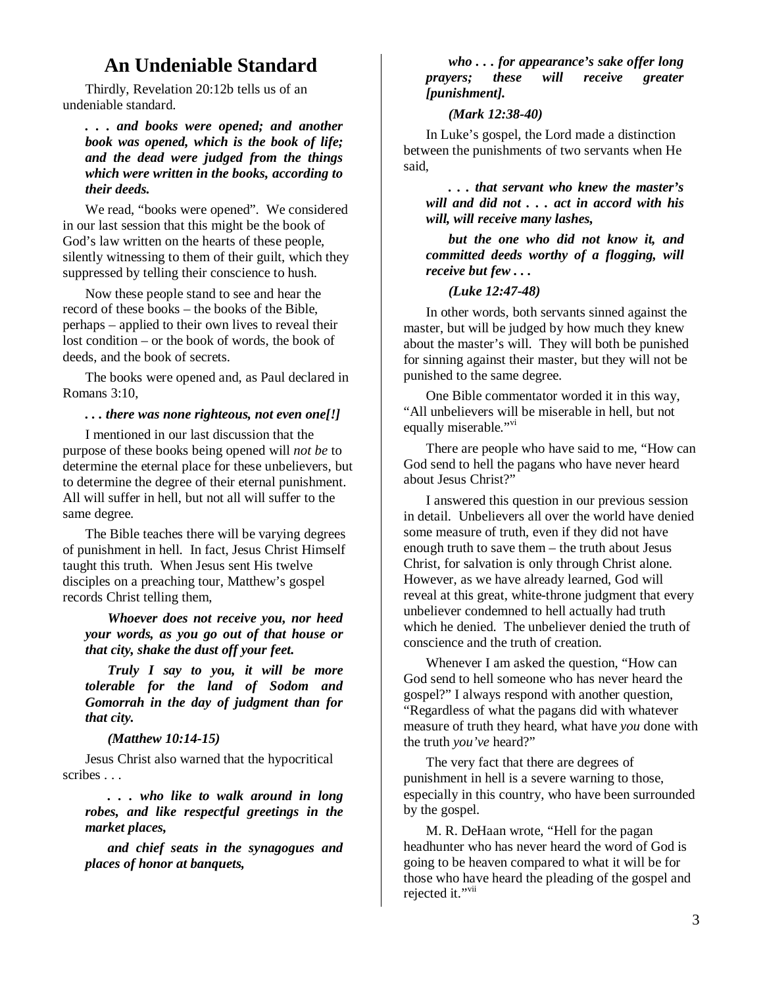# **An Undeniable Standard**

Thirdly, Revelation 20:12b tells us of an undeniable standard.

*. . . and books were opened; and another book was opened, which is the book of life; and the dead were judged from the things which were written in the books, according to their deeds.*

We read, "books were opened". We considered in our last session that this might be the book of God's law written on the hearts of these people, silently witnessing to them of their guilt, which they suppressed by telling their conscience to hush.

Now these people stand to see and hear the record of these books – the books of the Bible, perhaps – applied to their own lives to reveal their lost condition – or the book of words, the book of deeds, and the book of secrets.

The books were opened and, as Paul declared in Romans 3:10,

#### *. . . there was none righteous, not even one[!]*

I mentioned in our last discussion that the purpose of these books being opened will *not be* to determine the eternal place for these unbelievers, but to determine the degree of their eternal punishment. All will suffer in hell, but not all will suffer to the same degree.

The Bible teaches there will be varying degrees of punishment in hell. In fact, Jesus Christ Himself taught this truth. When Jesus sent His twelve disciples on a preaching tour, Matthew's gospel records Christ telling them,

*Whoever does not receive you, nor heed your words, as you go out of that house or that city, shake the dust off your feet.* 

*Truly I say to you, it will be more tolerable for the land of Sodom and Gomorrah in the day of judgment than for that city.* 

#### *(Matthew 10:14-15)*

Jesus Christ also warned that the hypocritical scribes . . .

*. . . who like to walk around in long robes, and like respectful greetings in the market places,* 

*and chief seats in the synagogues and places of honor at banquets,* 

### *who . . . for appearance's sake offer long prayers; these will receive greater [punishment].*

#### *(Mark 12:38-40)*

In Luke's gospel, the Lord made a distinction between the punishments of two servants when He said,

*. . . that servant who knew the master's will and did not . . . act in accord with his will, will receive many lashes,* 

*but the one who did not know it, and committed deeds worthy of a flogging, will receive but few . . .* 

#### *(Luke 12:47-48)*

In other words, both servants sinned against the master, but will be judged by how much they knew about the master's will. They will both be punished for sinning against their master, but they will not be punished to the same degree.

One Bible commentator worded it in this way, "All unbelievers will be miserable in hell, but not equally miserable."<sup>vi</sup>

There are people who have said to me, "How can God send to hell the pagans who have never heard about Jesus Christ?"

I answered this question in our previous session in detail. Unbelievers all over the world have denied some measure of truth, even if they did not have enough truth to save them – the truth about Jesus Christ, for salvation is only through Christ alone. However, as we have already learned, God will reveal at this great, white-throne judgment that every unbeliever condemned to hell actually had truth which he denied. The unbeliever denied the truth of conscience and the truth of creation.

Whenever I am asked the question, "How can God send to hell someone who has never heard the gospel?" I always respond with another question, "Regardless of what the pagans did with whatever measure of truth they heard, what have *you* done with the truth *you've* heard?"

The very fact that there are degrees of punishment in hell is a severe warning to those, especially in this country, who have been surrounded by the gospel.

M. R. DeHaan wrote, "Hell for the pagan headhunter who has never heard the word of God is going to be heaven compared to what it will be for those who have heard the pleading of the gospel and rejected it."<sup>vii</sup>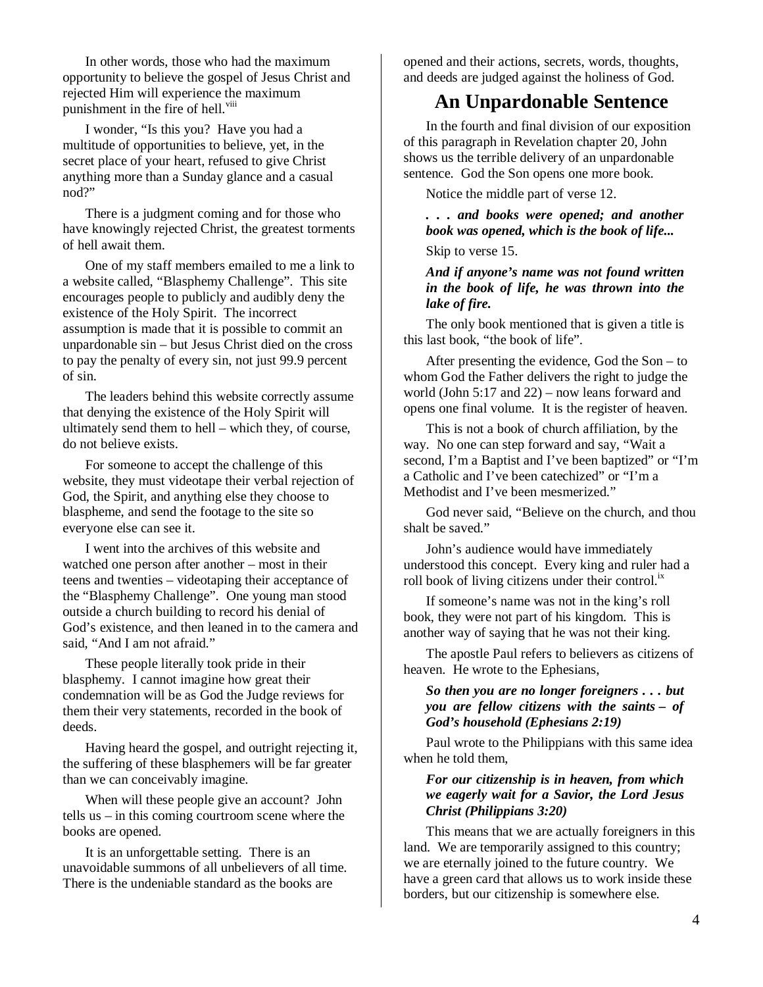In other words, those who had the maximum opportunity to believe the gospel of Jesus Christ and rejected Him will experience the maximum punishment in the fire of hell.<sup>viii</sup>

I wonder, "Is this you? Have you had a multitude of opportunities to believe, yet, in the secret place of your heart, refused to give Christ anything more than a Sunday glance and a casual nod?"

There is a judgment coming and for those who have knowingly rejected Christ, the greatest torments of hell await them.

One of my staff members emailed to me a link to a website called, "Blasphemy Challenge". This site encourages people to publicly and audibly deny the existence of the Holy Spirit. The incorrect assumption is made that it is possible to commit an unpardonable sin – but Jesus Christ died on the cross to pay the penalty of every sin, not just 99.9 percent of sin.

The leaders behind this website correctly assume that denying the existence of the Holy Spirit will ultimately send them to hell – which they, of course, do not believe exists.

For someone to accept the challenge of this website, they must videotape their verbal rejection of God, the Spirit, and anything else they choose to blaspheme, and send the footage to the site so everyone else can see it.

I went into the archives of this website and watched one person after another – most in their teens and twenties – videotaping their acceptance of the "Blasphemy Challenge". One young man stood outside a church building to record his denial of God's existence, and then leaned in to the camera and said, "And I am not afraid."

These people literally took pride in their blasphemy. I cannot imagine how great their condemnation will be as God the Judge reviews for them their very statements, recorded in the book of deeds.

Having heard the gospel, and outright rejecting it, the suffering of these blasphemers will be far greater than we can conceivably imagine.

When will these people give an account? John tells us – in this coming courtroom scene where the books are opened.

It is an unforgettable setting. There is an unavoidable summons of all unbelievers of all time. There is the undeniable standard as the books are

opened and their actions, secrets, words, thoughts, and deeds are judged against the holiness of God.

# **An Unpardonable Sentence**

In the fourth and final division of our exposition of this paragraph in Revelation chapter 20, John shows us the terrible delivery of an unpardonable sentence. God the Son opens one more book.

Notice the middle part of verse 12.

*. . . and books were opened; and another book was opened, which is the book of life...*

Skip to verse 15.

#### *And if anyone's name was not found written in the book of life, he was thrown into the lake of fire.*

The only book mentioned that is given a title is this last book, "the book of life".

After presenting the evidence, God the Son – to whom God the Father delivers the right to judge the world (John 5:17 and 22) – now leans forward and opens one final volume. It is the register of heaven.

This is not a book of church affiliation, by the way. No one can step forward and say, "Wait a second, I'm a Baptist and I've been baptized" or "I'm a Catholic and I've been catechized" or "I'm a Methodist and I've been mesmerized."

God never said, "Believe on the church, and thou shalt be saved."

John's audience would have immediately understood this concept. Every king and ruler had a roll book of living citizens under their control.<sup>1X</sup>

If someone's name was not in the king's roll book, they were not part of his kingdom. This is another way of saying that he was not their king.

The apostle Paul refers to believers as citizens of heaven. He wrote to the Ephesians,

#### *So then you are no longer foreigners . . . but you are fellow citizens with the saints – of God's household (Ephesians 2:19)*

Paul wrote to the Philippians with this same idea when he told them,

### *For our citizenship is in heaven, from which we eagerly wait for a Savior, the Lord Jesus Christ (Philippians 3:20)*

This means that we are actually foreigners in this land. We are temporarily assigned to this country; we are eternally joined to the future country. We have a green card that allows us to work inside these borders, but our citizenship is somewhere else.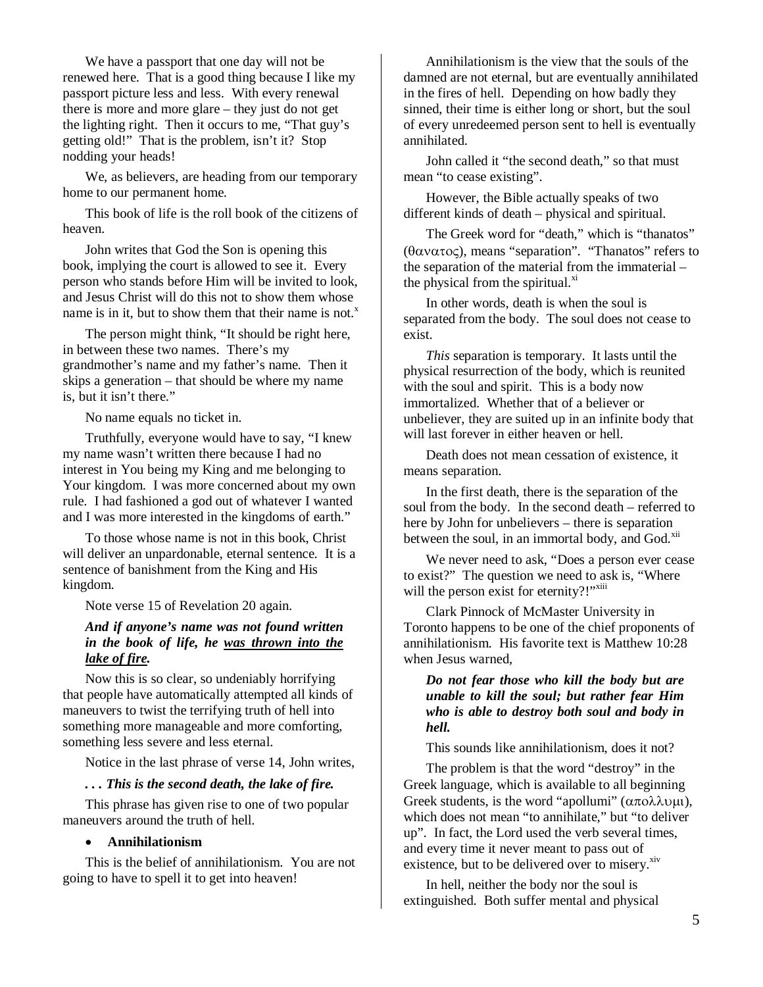We have a passport that one day will not be renewed here. That is a good thing because I like my passport picture less and less. With every renewal there is more and more glare – they just do not get the lighting right. Then it occurs to me, "That guy's getting old!" That is the problem, isn't it? Stop nodding your heads!

We, as believers, are heading from our temporary home to our permanent home.

This book of life is the roll book of the citizens of heaven.

John writes that God the Son is opening this book, implying the court is allowed to see it. Every person who stands before Him will be invited to look, and Jesus Christ will do this not to show them whose name is in it, but to show them that their name is not. $^x$ 

The person might think, "It should be right here, in between these two names. There's my grandmother's name and my father's name. Then it skips a generation – that should be where my name is, but it isn't there."

No name equals no ticket in.

Truthfully, everyone would have to say, "I knew my name wasn't written there because I had no interest in You being my King and me belonging to Your kingdom. I was more concerned about my own rule. I had fashioned a god out of whatever I wanted and I was more interested in the kingdoms of earth."

To those whose name is not in this book, Christ will deliver an unpardonable, eternal sentence. It is a sentence of banishment from the King and His kingdom.

Note verse 15 of Revelation 20 again.

### *And if anyone's name was not found written in the book of life, he was thrown into the lake of fire.*

Now this is so clear, so undeniably horrifying that people have automatically attempted all kinds of maneuvers to twist the terrifying truth of hell into something more manageable and more comforting, something less severe and less eternal.

Notice in the last phrase of verse 14, John writes,

#### *. . . This is the second death, the lake of fire.*

This phrase has given rise to one of two popular maneuvers around the truth of hell.

#### • **Annihilationism**

This is the belief of annihilationism. You are not going to have to spell it to get into heaven!

Annihilationism is the view that the souls of the damned are not eternal, but are eventually annihilated in the fires of hell. Depending on how badly they sinned, their time is either long or short, but the soul of every unredeemed person sent to hell is eventually annihilated.

John called it "the second death," so that must mean "to cease existing".

However, the Bible actually speaks of two different kinds of death – physical and spiritual.

The Greek word for "death," which is "thanatos" (θανατος), means "separation". "Thanatos" refers to the separation of the material from the immaterial – the physical from the spiritual. $x$ <sup>xi</sup>

In other words, death is when the soul is separated from the body. The soul does not cease to exist.

*This* separation is temporary. It lasts until the physical resurrection of the body, which is reunited with the soul and spirit. This is a body now immortalized. Whether that of a believer or unbeliever, they are suited up in an infinite body that will last forever in either heaven or hell.

Death does not mean cessation of existence, it means separation.

In the first death, there is the separation of the soul from the body. In the second death – referred to here by John for unbelievers – there is separation between the soul, in an immortal body, and God.<sup>xii</sup>

We never need to ask, "Does a person ever cease to exist?" The question we need to ask is, "Where will the person exist for eternity?!"<sup>xiii</sup>

Clark Pinnock of McMaster University in Toronto happens to be one of the chief proponents of annihilationism. His favorite text is Matthew 10:28 when Jesus warned,

*Do not fear those who kill the body but are unable to kill the soul; but rather fear Him who is able to destroy both soul and body in hell.* 

This sounds like annihilationism, does it not?

The problem is that the word "destroy" in the Greek language, which is available to all beginning Greek students, is the word "apollumi" ( $\alpha \pi$ ολλυμι), which does not mean "to annihilate," but "to deliver up". In fact, the Lord used the verb several times, and every time it never meant to pass out of existence, but to be delivered over to misery.<sup>xiv</sup>

In hell, neither the body nor the soul is extinguished. Both suffer mental and physical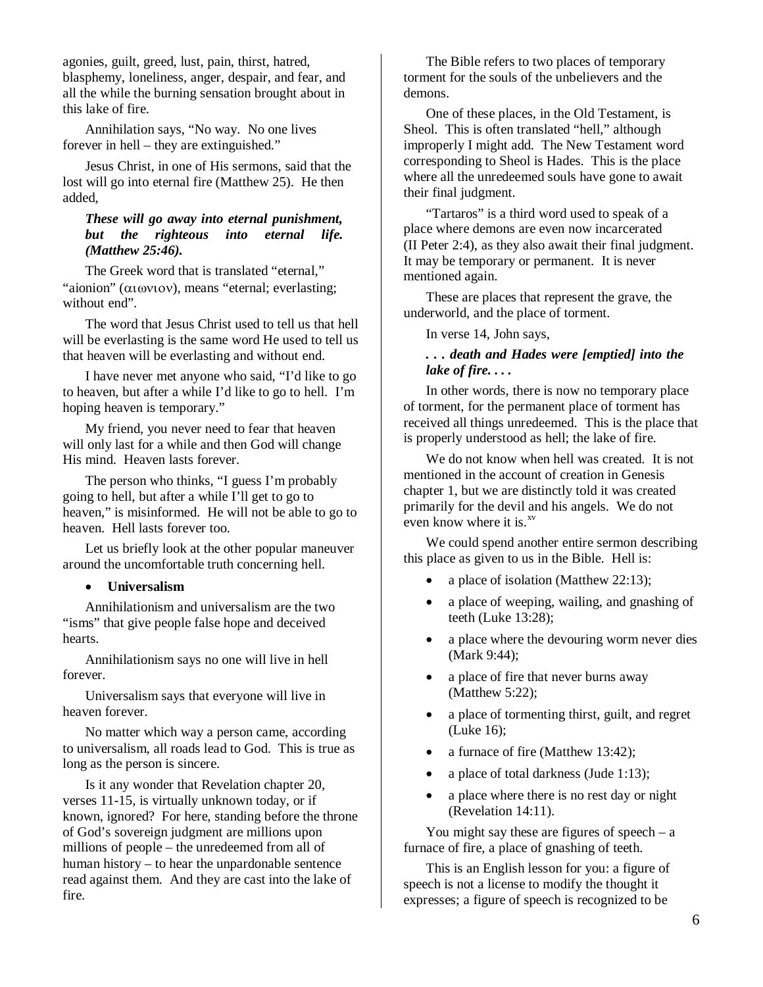agonies, guilt, greed, lust, pain, thirst, hatred, blasphemy, loneliness, anger, despair, and fear, and all the while the burning sensation brought about in this lake of fire.

Annihilation says, "No way. No one lives forever in hell – they are extinguished."

Jesus Christ, in one of His sermons, said that the lost will go into eternal fire (Matthew 25). He then added,

## *These will go away into eternal punishment, but the righteous into eternal life. (Matthew 25:46).*

The Greek word that is translated "eternal," "aionion" (αιωνιον), means "eternal; everlasting; without end".

The word that Jesus Christ used to tell us that hell will be everlasting is the same word He used to tell us that heaven will be everlasting and without end.

I have never met anyone who said, "I'd like to go to heaven, but after a while I'd like to go to hell. I'm hoping heaven is temporary."

My friend, you never need to fear that heaven will only last for a while and then God will change His mind. Heaven lasts forever.

The person who thinks, "I guess I'm probably going to hell, but after a while I'll get to go to heaven," is misinformed. He will not be able to go to heaven. Hell lasts forever too.

Let us briefly look at the other popular maneuver around the uncomfortable truth concerning hell.

## • **Universalism**

Annihilationism and universalism are the two "isms" that give people false hope and deceived hearts.

Annihilationism says no one will live in hell forever.

Universalism says that everyone will live in heaven forever.

No matter which way a person came, according to universalism, all roads lead to God. This is true as long as the person is sincere.

Is it any wonder that Revelation chapter 20, verses 11-15, is virtually unknown today, or if known, ignored? For here, standing before the throne of God's sovereign judgment are millions upon millions of people – the unredeemed from all of human history – to hear the unpardonable sentence read against them. And they are cast into the lake of fire.

The Bible refers to two places of temporary torment for the souls of the unbelievers and the demons.

One of these places, in the Old Testament, is Sheol. This is often translated "hell," although improperly I might add. The New Testament word corresponding to Sheol is Hades. This is the place where all the unredeemed souls have gone to await their final judgment.

"Tartaros" is a third word used to speak of a place where demons are even now incarcerated (II Peter 2:4), as they also await their final judgment. It may be temporary or permanent. It is never mentioned again.

These are places that represent the grave, the underworld, and the place of torment.

In verse 14, John says,

## *. . . death and Hades were [emptied] into the lake of fire. . . .*

In other words, there is now no temporary place of torment, for the permanent place of torment has received all things unredeemed. This is the place that is properly understood as hell; the lake of fire.

We do not know when hell was created. It is not mentioned in the account of creation in Genesis chapter 1, but we are distinctly told it was created primarily for the devil and his angels. We do not even know where it is.<sup>xv</sup>

We could spend another entire sermon describing this place as given to us in the Bible. Hell is:

- a place of isolation (Matthew 22:13);
- a place of weeping, wailing, and gnashing of teeth (Luke 13:28);
- a place where the devouring worm never dies (Mark 9:44);
- a place of fire that never burns away (Matthew 5:22);
- a place of tormenting thirst, guilt, and regret (Luke 16);
- a furnace of fire (Matthew 13:42);
- a place of total darkness (Jude 1:13);
- a place where there is no rest day or night (Revelation 14:11).

You might say these are figures of speech  $-$  a furnace of fire, a place of gnashing of teeth.

This is an English lesson for you: a figure of speech is not a license to modify the thought it expresses; a figure of speech is recognized to be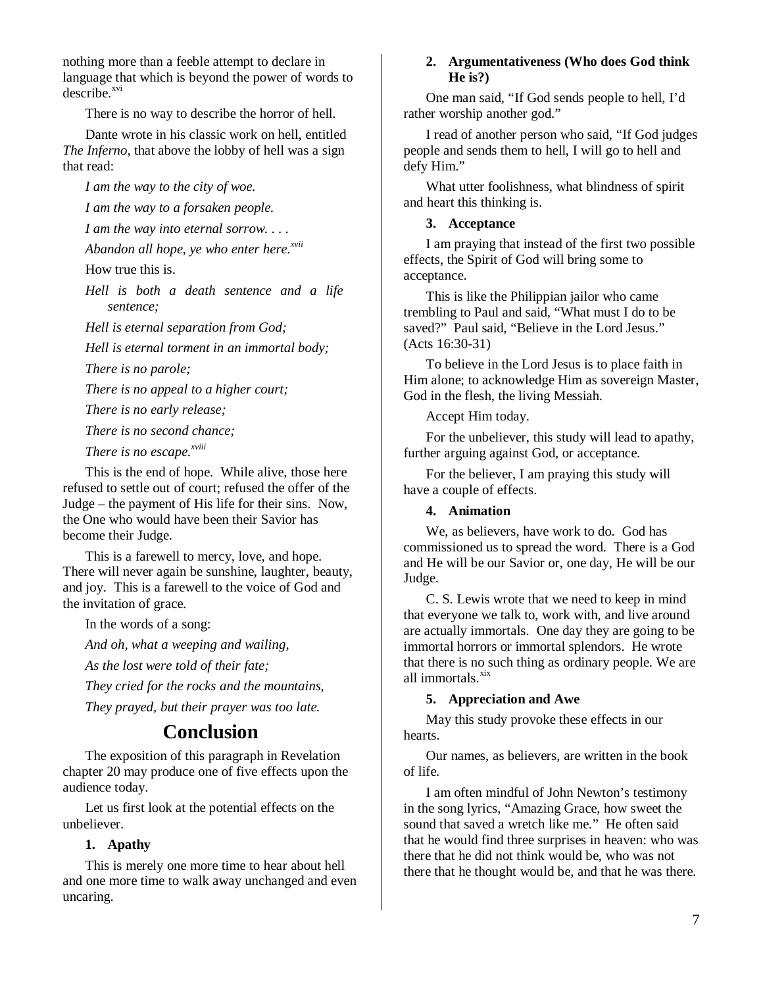nothing more than a feeble attempt to declare in language that which is beyond the power of words to  $describe.<sup>xvi</sup>$ 

There is no way to describe the horror of hell.

Dante wrote in his classic work on hell, entitled *The Inferno*, that above the lobby of hell was a sign that read:

*I am the way to the city of woe.* 

*I am the way to a forsaken people.* 

*I am the way into eternal sorrow. . . .* 

*Abandon all hope, ye who enter here.xvii*

How true this is.

*Hell is both a death sentence and a life sentence;* 

*Hell is eternal separation from God;* 

*Hell is eternal torment in an immortal body;* 

*There is no parole;* 

*There is no appeal to a higher court;* 

*There is no early release;* 

*There is no second chance;* 

*There is no escape.xviii*

This is the end of hope. While alive, those here refused to settle out of court; refused the offer of the Judge – the payment of His life for their sins. Now, the One who would have been their Savior has become their Judge.

This is a farewell to mercy, love, and hope. There will never again be sunshine, laughter, beauty, and joy. This is a farewell to the voice of God and the invitation of grace.

In the words of a song:

*And oh, what a weeping and wailing,* 

*As the lost were told of their fate;* 

*They cried for the rocks and the mountains,* 

*They prayed, but their prayer was too late.* 

# **Conclusion**

The exposition of this paragraph in Revelation chapter 20 may produce one of five effects upon the audience today.

Let us first look at the potential effects on the unbeliever.

### **1. Apathy**

This is merely one more time to hear about hell and one more time to walk away unchanged and even uncaring.

#### **2. Argumentativeness (Who does God think He is?)**

One man said, "If God sends people to hell, I'd rather worship another god."

I read of another person who said, "If God judges people and sends them to hell, I will go to hell and defy Him."

What utter foolishness, what blindness of spirit and heart this thinking is.

### **3. Acceptance**

I am praying that instead of the first two possible effects, the Spirit of God will bring some to acceptance.

This is like the Philippian jailor who came trembling to Paul and said, "What must I do to be saved?" Paul said, "Believe in the Lord Jesus." (Acts 16:30-31)

To believe in the Lord Jesus is to place faith in Him alone; to acknowledge Him as sovereign Master, God in the flesh, the living Messiah.

Accept Him today.

For the unbeliever, this study will lead to apathy, further arguing against God, or acceptance.

For the believer, I am praying this study will have a couple of effects.

### **4. Animation**

We, as believers, have work to do. God has commissioned us to spread the word. There is a God and He will be our Savior or, one day, He will be our Judge.

C. S. Lewis wrote that we need to keep in mind that everyone we talk to, work with, and live around are actually immortals. One day they are going to be immortal horrors or immortal splendors. He wrote that there is no such thing as ordinary people. We are all immortals.<sup>xix</sup>

### **5. Appreciation and Awe**

May this study provoke these effects in our hearts.

Our names, as believers, are written in the book of life.

I am often mindful of John Newton's testimony in the song lyrics, "Amazing Grace, how sweet the sound that saved a wretch like me." He often said that he would find three surprises in heaven: who was there that he did not think would be, who was not there that he thought would be, and that he was there.